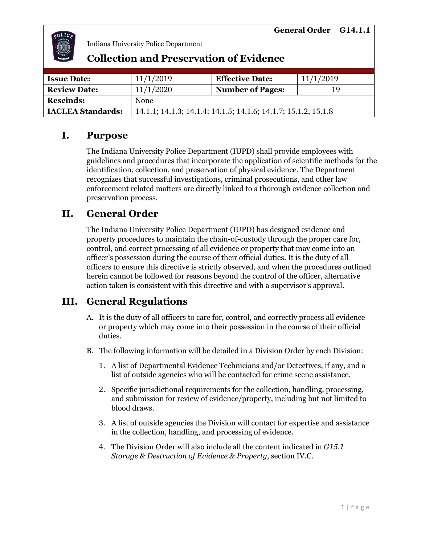

| <b>Issue Date:</b>       | 11/1/2019                                                      | <b>Effective Date:</b>  | 11/1/2019 |
|--------------------------|----------------------------------------------------------------|-------------------------|-----------|
| <b>Review Date:</b>      | 11/1/2020                                                      | <b>Number of Pages:</b> | 19        |
| <b>Rescinds:</b>         | None                                                           |                         |           |
| <b>IACLEA Standards:</b> | 14.1.1; 14.1.3; 14.1.4; 14.1.5; 14.1.6; 14.1.7; 15.1.2, 15.1.8 |                         |           |

### **Collection and Preservation of Evidence**

# **I. Purpose**

The Indiana University Police Department (IUPD) shall provide employees with guidelines and procedures that incorporate the application of scientific methods for the identification, collection, and preservation of physical evidence. The Department recognizes that successful investigations, criminal prosecutions, and other law enforcement related matters are directly linked to a thorough evidence collection and preservation process.

# **II. General Order**

The Indiana University Police Department (IUPD) has designed evidence and property procedures to maintain the chain-of-custody through the proper care for, control, and correct processing of all evidence or property that may come into an officer's possession during the course of their official duties. It is the duty of all officers to ensure this directive is strictly observed, and when the procedures outlined herein cannot be followed for reasons beyond the control of the officer, alternative action taken is consistent with this directive and with a supervisor's approval.

# **III. General Regulations**

- A. It is the duty of all officers to care for, control, and correctly process all evidence or property which may come into their possession in the course of their official duties.
- B. The following information will be detailed in a Division Order by each Division:
	- 1. A list of Departmental Evidence Technicians and/or Detectives, if any, and a list of outside agencies who will be contacted for crime scene assistance.
	- 2. Specific jurisdictional requirements for the collection, handling, processing, and submission for review of evidence/property, including but not limited to blood draws.
	- 3. A list of outside agencies the Division will contact for expertise and assistance in the collection, handling, and processing of evidence.
	- 4. The Division Order will also include all the content indicated in *G15.1 Storage & Destruction of Evidence & Property*, section IV.C.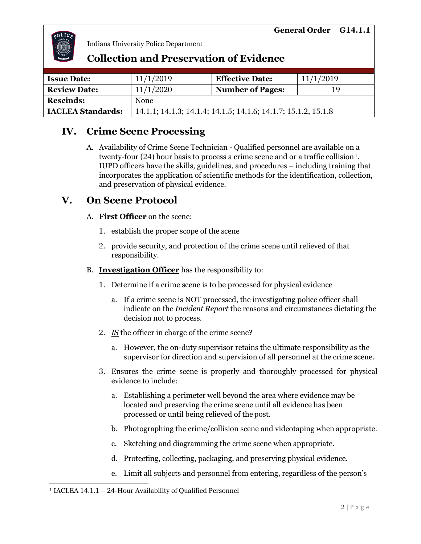

### **Collection and Preservation of Evidence**

| <b>Issue Date:</b>       | 11/1/2019                                                      | <b>Effective Date:</b>  | 11/1/2019 |
|--------------------------|----------------------------------------------------------------|-------------------------|-----------|
| <b>Review Date:</b>      | 11/1/2020                                                      | <b>Number of Pages:</b> | 19        |
| <b>Rescinds:</b>         | <b>None</b>                                                    |                         |           |
| <b>IACLEA Standards:</b> | 14.1.1; 14.1.3; 14.1.4; 14.1.5; 14.1.6; 14.1.7; 15.1.2, 15.1.8 |                         |           |

### **IV. Crime Scene Processing**

A. Availability of Crime Scene Technician - Qualified personnel are available on a twenty-four (24) hour basis to process a crime scene and or a traffic collision $^{\rm 1}.$ IUPD officers have the skills, guidelines, and procedures – including training that incorporates the application of scientific methods for the identification, collection, and preservation of physical evidence.

### **V. On Scene Protocol**

#### A. **First Officer** on the scene:

- 1. establish the proper scope of the scene
- 2. provide security, and protection of the crime scene until relieved of that responsibility.

#### B. **Investigation Officer** has the responsibility to:

- 1. Determine if a crime scene is to be processed for physical evidence
	- a. If a crime scene is NOT processed, the investigating police officer shall indicate on the *Incident Report* the reasons and circumstances dictating the decision not to process.
- 2. *IS* the officer in charge of the crime scene?
	- a. However, the on-duty supervisor retains the ultimate responsibility as the supervisor for direction and supervision of all personnel at the crime scene.
- 3. Ensures the crime scene is properly and thoroughly processed for physical evidence to include:
	- a. Establishing a perimeter well beyond the area where evidence may be located and preserving the crime scene until all evidence has been processed or until being relieved of the post.
	- b. Photographing the crime/collision scene and videotaping when appropriate.
	- c. Sketching and diagramming the crime scene when appropriate.
	- d. Protecting, collecting, packaging, and preserving physical evidence.
	- e. Limit all subjects and personnel from entering, regardless of the person's

#### <sup>1</sup> IACLEA 14.1.1 – 24-Hour Availability of Qualified Personnel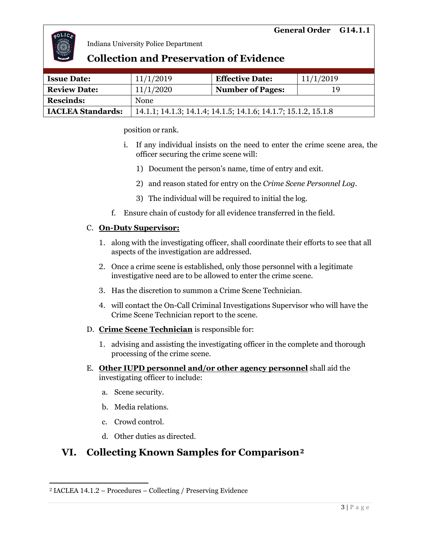

### **Collection and Preservation of Evidence**

| <b>Issue Date:</b>       | 11/1/2019                                                      | <b>Effective Date:</b>  | 11/1/2019 |
|--------------------------|----------------------------------------------------------------|-------------------------|-----------|
| <b>Review Date:</b>      | 11/1/2020                                                      | <b>Number of Pages:</b> | 19        |
| <b>Rescinds:</b>         | <b>None</b>                                                    |                         |           |
| <b>IACLEA Standards:</b> | 14.1.1; 14.1.3; 14.1.4; 14.1.5; 14.1.6; 14.1.7; 15.1.2, 15.1.8 |                         |           |

position or rank.

- i. If any individual insists on the need to enter the crime scene area, the officer securing the crime scene will:
	- 1) Document the person's name, time of entry and exit.
	- 2) and reason stated for entry on the *Crime Scene Personnel Log*.
	- 3) The individual will be required to initial the log.
- f. Ensure chain of custody for all evidence transferred in the field.

#### C. **On-Duty Supervisor:**

- 1. along with the investigating officer, shall coordinate their efforts to see that all aspects of the investigation are addressed.
- 2. Once a crime scene is established, only those personnel with a legitimate investigative need are to be allowed to enter the crime scene.
- 3. Has the discretion to summon a Crime Scene Technician.
- 4. will contact the On-Call Criminal Investigations Supervisor who will have the Crime Scene Technician report to the scene.
- D. **Crime Scene Technician** is responsible for:
	- 1. advising and assisting the investigating officer in the complete and thorough processing of the crime scene.
- E. **Other IUPD personnel and/or other agency personnel** shall aid the investigating officer to include:
	- a. Scene security.
	- b. Media relations.
	- c. Crowd control.
	- d. Other duties as directed.

# **VI. Collecting Known Samples for Comparison<sup>2</sup>**

<sup>2</sup> IACLEA 14.1.2 – Procedures – Collecting / Preserving Evidence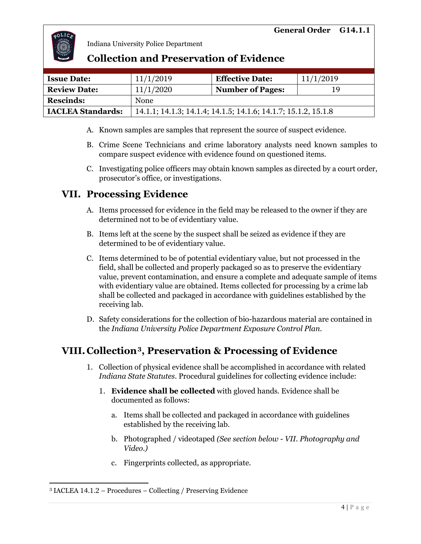

### **Collection and Preservation of Evidence**

| <b>Issue Date:</b>       | 11/1/2019                                                      | <b>Effective Date:</b>  | 11/1/2019 |
|--------------------------|----------------------------------------------------------------|-------------------------|-----------|
| <b>Review Date:</b>      | 11/1/2020                                                      | <b>Number of Pages:</b> | 19        |
| <b>Rescinds:</b>         | <b>None</b>                                                    |                         |           |
| <b>IACLEA Standards:</b> | 14.1.1; 14.1.3; 14.1.4; 14.1.5; 14.1.6; 14.1.7; 15.1.2, 15.1.8 |                         |           |

- A. Known samples are samples that represent the source of suspect evidence.
- B. Crime Scene Technicians and crime laboratory analysts need known samples to compare suspect evidence with evidence found on questioned items.
- C. Investigating police officers may obtain known samples as directed by a court order, prosecutor's office, or investigations.

### **VII. Processing Evidence**

- A. Items processed for evidence in the field may be released to the owner if they are determined not to be of evidentiary value.
- B. Items left at the scene by the suspect shall be seized as evidence if they are determined to be of evidentiary value.
- C. Items determined to be of potential evidentiary value, but not processed in the field, shall be collected and properly packaged so as to preserve the evidentiary value, prevent contamination, and ensure a complete and adequate sample of items with evidentiary value are obtained. Items collected for processing by a crime lab shall be collected and packaged in accordance with guidelines established by the receiving lab.
- D. Safety considerations for the collection of bio-hazardous material are contained in the *Indiana University Police Department Exposure Control Plan*.

# **VIII. Collection<sup>3</sup>, Preservation & Processing of Evidence**

- 1. Collection of physical evidence shall be accomplished in accordance with related *Indiana State Statutes.* Procedural guidelines for collecting evidence include:
	- 1. **Evidence shall be collected** with gloved hands. Evidence shall be documented as follows:
		- a. Items shall be collected and packaged in accordance with guidelines established by the receiving lab.
		- b. Photographed / videotaped *(See section below VII. Photography and Video.)*
		- c. Fingerprints collected, as appropriate.

<sup>3</sup> IACLEA 14.1.2 – Procedures – Collecting / Preserving Evidence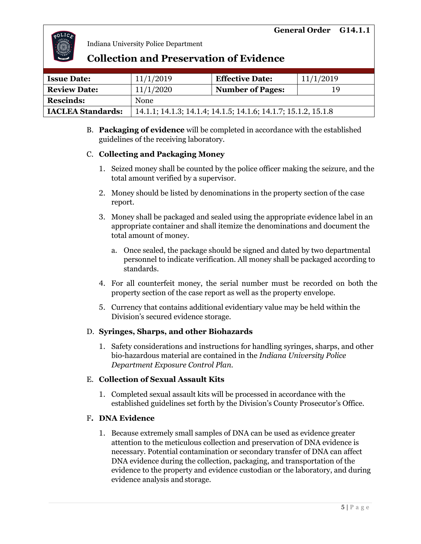

### **Collection and Preservation of Evidence**

| <b>Issue Date:</b>       | 11/1/2019                                                      | <b>Effective Date:</b>  | 11/1/2019 |
|--------------------------|----------------------------------------------------------------|-------------------------|-----------|
| <b>Review Date:</b>      | 11/1/2020                                                      | <b>Number of Pages:</b> | 19        |
| <b>Rescinds:</b>         | <b>None</b>                                                    |                         |           |
| <b>IACLEA Standards:</b> | 14.1.1; 14.1.3; 14.1.4; 14.1.5; 14.1.6; 14.1.7; 15.1.2, 15.1.8 |                         |           |

B. **Packaging of evidence** will be completed in accordance with the established guidelines of the receiving laboratory.

#### C. **Collecting and Packaging Money**

- 1. Seized money shall be counted by the police officer making the seizure, and the total amount verified by a supervisor.
- 2. Money should be listed by denominations in the property section of the case report.
- 3. Money shall be packaged and sealed using the appropriate evidence label in an appropriate container and shall itemize the denominations and document the total amount of money.
	- a. Once sealed, the package should be signed and dated by two departmental personnel to indicate verification. All money shall be packaged according to standards.
- 4. For all counterfeit money, the serial number must be recorded on both the property section of the case report as well as the property envelope.
- 5. Currency that contains additional evidentiary value may be held within the Division's secured evidence storage.

#### D. **Syringes, Sharps, and other Biohazards**

1. Safety considerations and instructions for handling syringes, sharps, and other bio-hazardous material are contained in the *Indiana University Police Department Exposure Control Plan.*

#### E. **Collection of Sexual Assault Kits**

1. Completed sexual assault kits will be processed in accordance with the established guidelines set forth by the Division's County Prosecutor's Office.

#### F**. DNA Evidence**

1. Because extremely small samples of DNA can be used as evidence greater attention to the meticulous collection and preservation of DNA evidence is necessary. Potential contamination or secondary transfer of DNA can affect DNA evidence during the collection, packaging, and transportation of the evidence to the property and evidence custodian or the laboratory, and during evidence analysis and storage.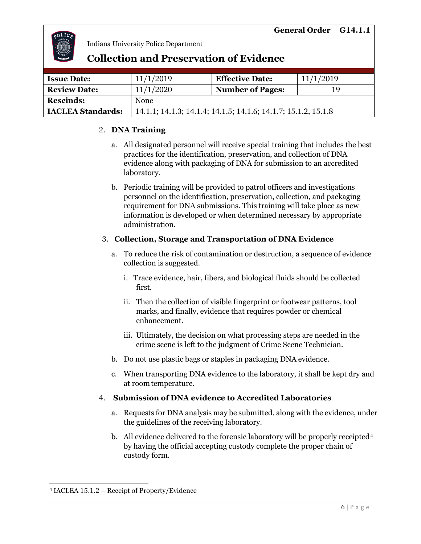

# **Collection and Preservation of Evidence**

| <b>Issue Date:</b>       | 11/1/2019                                                      | <b>Effective Date:</b>  | 11/1/2019 |
|--------------------------|----------------------------------------------------------------|-------------------------|-----------|
| <b>Review Date:</b>      | 11/1/2020                                                      | <b>Number of Pages:</b> | 19        |
| <b>Rescinds:</b>         | <b>None</b>                                                    |                         |           |
| <b>IACLEA Standards:</b> | 14.1.1; 14.1.3; 14.1.4; 14.1.5; 14.1.6; 14.1.7; 15.1.2, 15.1.8 |                         |           |

### 2. **DNA Training**

- a. All designated personnel will receive special training that includes the best practices for the identification, preservation, and collection of DNA evidence along with packaging of DNA for submission to an accredited laboratory.
- b. Periodic training will be provided to patrol officers and investigations personnel on the identification, preservation, collection, and packaging requirement for DNA submissions. This training will take place as new information is developed or when determined necessary by appropriate administration.

#### 3. **Collection, Storage and Transportation of DNA Evidence**

- a. To reduce the risk of contamination or destruction, a sequence of evidence collection is suggested.
	- i. Trace evidence, hair, fibers, and biological fluids should be collected first.
	- ii. Then the collection of visible fingerprint or footwear patterns, tool marks, and finally, evidence that requires powder or chemical enhancement.
	- iii. Ultimately, the decision on what processing steps are needed in the crime scene is left to the judgment of Crime Scene Technician.
- b. Do not use plastic bags or staples in packaging DNA evidence.
- c. When transporting DNA evidence to the laboratory, it shall be kept dry and at roomtemperature.

### 4. **Submission of DNA evidence to Accredited Laboratories**

- a. Requests for DNA analysis may be submitted, along with the evidence, under the guidelines of the receiving laboratory.
- b.  $\,$  All evidence delivered to the forensic laboratory will be properly receipted $^{4}$ by having the official accepting custody complete the proper chain of custody form.

<sup>4</sup> IACLEA 15.1.2 – Receipt of Property/Evidence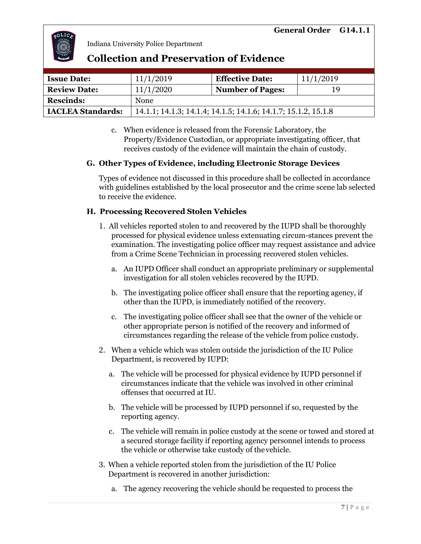

### **Collection and Preservation of Evidence**

| <b>Issue Date:</b>       | 11/1/2019                                                      | <b>Effective Date:</b>  | 11/1/2019 |
|--------------------------|----------------------------------------------------------------|-------------------------|-----------|
| <b>Review Date:</b>      | 11/1/2020                                                      | <b>Number of Pages:</b> | 19        |
| <b>Rescinds:</b>         | None                                                           |                         |           |
| <b>IACLEA Standards:</b> | 14.1.1; 14.1.3; 14.1.4; 14.1.5; 14.1.6; 14.1.7; 15.1.2, 15.1.8 |                         |           |

c. When evidence is released from the Forensic Laboratory, the Property/Evidence Custodian, or appropriate investigating officer, that receives custody of the evidence will maintain the chain of custody.

#### **G. Other Types of Evidence, including Electronic Storage Devices**

Types of evidence not discussed in this procedure shall be collected in accordance with guidelines established by the local prosecutor and the crime scene lab selected to receive the evidence.

#### **H. Processing Recovered Stolen Vehicles**

- 1. All vehicles reported stolen to and recovered by the IUPD shall be thoroughly processed for physical evidence unless extenuating circum-stances prevent the examination. The investigating police officer may request assistance and advice from a Crime Scene Technician in processing recovered stolen vehicles.
	- a. An IUPD Officer shall conduct an appropriate preliminary or supplemental investigation for all stolen vehicles recovered by the IUPD.
	- b. The investigating police officer shall ensure that the reporting agency, if other than the IUPD, is immediately notified of the recovery.
	- c. The investigating police officer shall see that the owner of the vehicle or other appropriate person is notified of the recovery and informed of circumstances regarding the release of the vehicle from police custody.
- 2. When a vehicle which was stolen outside the jurisdiction of the IU Police Department, is recovered by IUPD:
	- a. The vehicle will be processed for physical evidence by IUPD personnel if circumstances indicate that the vehicle was involved in other criminal offenses that occurred at IU.
	- b. The vehicle will be processed by IUPD personnel if so, requested by the reporting agency.
	- c. The vehicle will remain in police custody at the scene or towed and stored at a secured storage facility if reporting agency personnel intends to process the vehicle or otherwise take custody of thevehicle.
- 3. When a vehicle reported stolen from the jurisdiction of the IU Police Department is recovered in another jurisdiction:
	- a. The agency recovering the vehicle should be requested to process the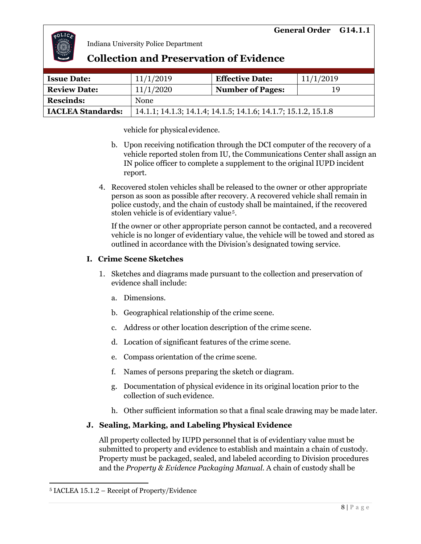

### **Collection and Preservation of Evidence**

| <b>Issue Date:</b>       | 11/1/2019                                                      | <b>Effective Date:</b>  | 11/1/2019 |
|--------------------------|----------------------------------------------------------------|-------------------------|-----------|
| <b>Review Date:</b>      | 11/1/2020                                                      | <b>Number of Pages:</b> | 19        |
| <b>Rescinds:</b>         | None                                                           |                         |           |
| <b>IACLEA Standards:</b> | 14.1.1; 14.1.3; 14.1.4; 14.1.5; 14.1.6; 14.1.7; 15.1.2, 15.1.8 |                         |           |

vehicle for physical evidence.

- b. Upon receiving notification through the DCI computer of the recovery of a vehicle reported stolen from IU, the Communications Center shall assign an IN police officer to complete a supplement to the original IUPD incident report.
- 4. Recovered stolen vehicles shall be released to the owner or other appropriate person as soon as possible after recovery. A recovered vehicle shall remain in police custody, and the chain of custody shall be maintained, if the recovered stolen vehicle is of evidentiary value<sup>5</sup>.

If the owner or other appropriate person cannot be contacted, and a recovered vehicle is no longer of evidentiary value, the vehicle will be towed and stored as outlined in accordance with the Division's designated towing service.

#### **I. Crime Scene Sketches**

- 1. Sketches and diagrams made pursuant to the collection and preservation of evidence shall include:
	- a. Dimensions.
	- b. Geographical relationship of the crime scene.
	- c. Address or other location description of the crime scene.
	- d. Location of significant features of the crime scene.
	- e. Compass orientation of the crime scene.
	- f. Names of persons preparing the sketch or diagram.
	- g. Documentation of physical evidence in its original location prior to the collection of such evidence.
	- h. Other sufficient information so that a final scale drawing may be made later.

#### **J. Sealing, Marking, and Labeling Physical Evidence**

All property collected by IUPD personnel that is of evidentiary value must be submitted to property and evidence to establish and maintain a chain of custody. Property must be packaged, sealed, and labeled according to Division procedures and the *Property & Evidence Packaging Manual*. A chain of custody shall be

<sup>5</sup> IACLEA 15.1.2 – Receipt of Property/Evidence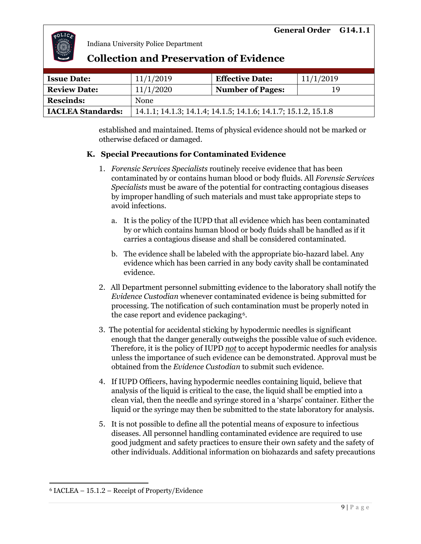

### **Collection and Preservation of Evidence**

| <b>Issue Date:</b>       | 11/1/2019   | <b>Effective Date:</b>                                         | 11/1/2019 |  |
|--------------------------|-------------|----------------------------------------------------------------|-----------|--|
| <b>Review Date:</b>      | 11/1/2020   | <b>Number of Pages:</b>                                        | 19        |  |
| <b>Rescinds:</b>         | <b>None</b> |                                                                |           |  |
| <b>IACLEA Standards:</b> |             | 14.1.1; 14.1.3; 14.1.4; 14.1.5; 14.1.6; 14.1.7; 15.1.2, 15.1.8 |           |  |

established and maintained. Items of physical evidence should not be marked or otherwise defaced or damaged.

#### **K. Special Precautions for Contaminated Evidence**

- 1. *Forensic Services Specialists* routinely receive evidence that has been contaminated by or contains human blood or body fluids. All *Forensic Services Specialists* must be aware of the potential for contracting contagious diseases by improper handling of such materials and must take appropriate steps to avoid infections.
	- a. It is the policy of the IUPD that all evidence which has been contaminated by or which contains human blood or body fluids shall be handled as if it carries a contagious disease and shall be considered contaminated.
	- b. The evidence shall be labeled with the appropriate bio-hazard label. Any evidence which has been carried in any body cavity shall be contaminated evidence.
- 2. All Department personnel submitting evidence to the laboratory shall notify the *Evidence Custodian* whenever contaminated evidence is being submitted for processing. The notification of such contamination must be properly noted in the case report and evidence packaging<sup>6</sup>.
- 3. The potential for accidental sticking by hypodermic needles is significant enough that the danger generally outweighs the possible value of such evidence. Therefore, it is the policy of IUPD *not* to accept hypodermic needles for analysis unless the importance of such evidence can be demonstrated. Approval must be obtained from the *Evidence Custodian* to submit such evidence.
- 4. If IUPD Officers, having hypodermic needles containing liquid, believe that analysis of the liquid is critical to the case, the liquid shall be emptied into a clean vial, then the needle and syringe stored in a 'sharps' container. Either the liquid or the syringe may then be submitted to the state laboratory for analysis.
- 5. It is not possible to define all the potential means of exposure to infectious diseases. All personnel handling contaminated evidence are required to use good judgment and safety practices to ensure their own safety and the safety of other individuals. Additional information on biohazards and safety precautions

<sup>6</sup> IACLEA – 15.1.2 – Receipt of Property/Evidence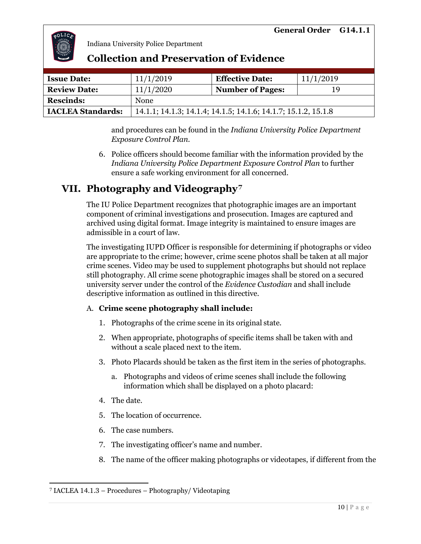

| <b>Issue Date:</b>       | 11/1/2019                                                      | <b>Effective Date:</b>  | 11/1/2019 |
|--------------------------|----------------------------------------------------------------|-------------------------|-----------|
| <b>Review Date:</b>      | 11/1/2020                                                      | <b>Number of Pages:</b> | 19        |
| <b>Rescinds:</b>         | None                                                           |                         |           |
| <b>IACLEA Standards:</b> | 14.1.1; 14.1.3; 14.1.4; 14.1.5; 14.1.6; 14.1.7; 15.1.2, 15.1.8 |                         |           |

### **Collection and Preservation of Evidence**

and procedures can be found in the *Indiana University Police Department Exposure Control Plan.*

6. Police officers should become familiar with the information provided by the *Indiana University Police Department Exposure Control Plan* to further ensure a safe working environment for all concerned.

### **VII. Photography and Videography**.<sup>7</sup>

The IU Police Department recognizes that photographic images are an important component of criminal investigations and prosecution. Images are captured and archived using digital format. Image integrity is maintained to ensure images are admissible in a court of law.

The investigating IUPD Officer is responsible for determining if photographs or video are appropriate to the crime; however, crime scene photos shall be taken at all major crime scenes. Video may be used to supplement photographs but should not replace still photography. All crime scene photographic images shall be stored on a secured university server under the control of the *Evidence Custodian* and shall include descriptive information as outlined in this directive.

#### A. **Crime scene photography shall include:**

- 1. Photographs of the crime scene in its original state.
- 2. When appropriate, photographs of specific items shall be taken with and without a scale placed next to the item.
- 3. Photo Placards should be taken as the first item in the series of photographs.
	- a. Photographs and videos of crime scenes shall include the following information which shall be displayed on a photo placard:
- 4. The date.
- 5. The location of occurrence.
- 6. The case numbers.
- 7. The investigating officer's name and number.
- 8. The name of the officer making photographs or videotapes, if different from the

<sup>7</sup> IACLEA 14.1.3 – Procedures – Photography/ Videotaping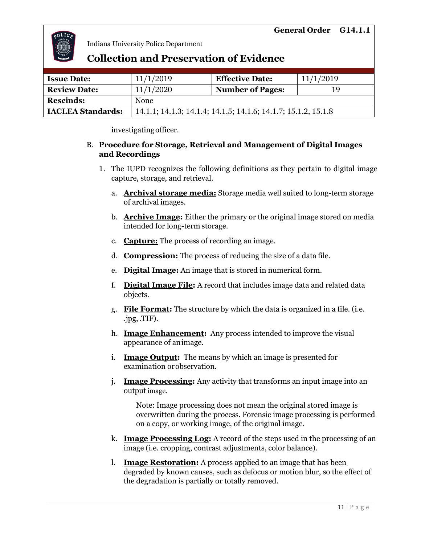

### **Collection and Preservation of Evidence**

| <b>Issue Date:</b>       | 11/1/2019                                                      | <b>Effective Date:</b>  | 11/1/2019 |
|--------------------------|----------------------------------------------------------------|-------------------------|-----------|
| <b>Review Date:</b>      | 11/1/2020                                                      | <b>Number of Pages:</b> | 19        |
| <b>Rescinds:</b>         | None                                                           |                         |           |
| <b>IACLEA Standards:</b> | 14.1.1; 14.1.3; 14.1.4; 14.1.5; 14.1.6; 14.1.7; 15.1.2, 15.1.8 |                         |           |

investigatingofficer.

#### B. **Procedure for Storage, Retrieval and Management of Digital Images and Recordings**

- 1. The IUPD recognizes the following definitions as they pertain to digital image capture, storage, and retrieval.
	- a. **Archival storage media:** Storage media well suited to long-term storage of archival images.
	- b. **Archive Image:** Either the primary or the original image stored on media intended for long-term storage.
	- c. **Capture:** The process of recording an image.
	- d. **Compression:** The process of reducing the size of a data file.
	- e. **Digital Image:** An image that is stored in numerical form.
	- f. **Digital Image File:** A record that includes image data and related data objects.
	- g. **File Format:** The structure by which the data is organized in a file. (i.e. .jpg, .TIF).
	- h. **Image Enhancement:** Any process intended to improve the visual appearance of animage.
	- i. **Image Output:** The means by which an image is presented for examination orobservation.
	- j. **Image Processing:** Any activity that transforms an input image into an outputimage.

Note: Image processing does not mean the original stored image is overwritten during the process. Forensic image processing is performed on a copy, or working image, of the original image.

- k. **Image Processing Log:** A record of the steps used in the processing of an image (i.e. cropping, contrast adjustments, color balance).
- l. **Image Restoration:** A process applied to an image that has been degraded by known causes, such as defocus or motion blur, so the effect of the degradation is partially or totally removed.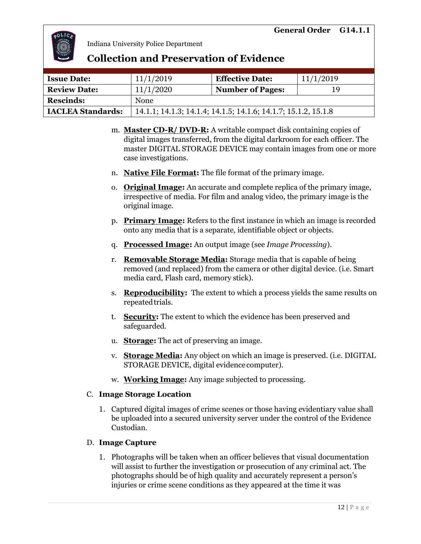

### **Collection and Preservation of Evidence**

| <b>Issue Date:</b>       | 11/1/2019                                                      | <b>Effective Date:</b>  | 11/1/2019 |
|--------------------------|----------------------------------------------------------------|-------------------------|-----------|
| <b>Review Date:</b>      | 11/1/2020                                                      | <b>Number of Pages:</b> | 19        |
| <b>Rescinds:</b>         | None                                                           |                         |           |
| <b>IACLEA Standards:</b> | 14.1.1; 14.1.3; 14.1.4; 14.1.5; 14.1.6; 14.1.7; 15.1.2, 15.1.8 |                         |           |

- m. **Master CD-R/ DVD-R:** A writable compact disk containing copies of digital images transferred, from the digital darkroom for each officer. The master DIGITAL STORAGE DEVICE may contain images from one or more case investigations.
- n. **Native File Format:** The file format of the primary image.
- o. **Original Image:** An accurate and complete replica of the primary image, irrespective of media. For film and analog video, the primary image is the original image.
- p. **Primary Image:** Refers to the first instance in which an image is recorded onto any media that is a separate, identifiable object or objects.
- q. **Processed Image:** An output image (see *Image Processing*).
- r. **Removable Storage Media:** Storage media that is capable of being removed (and replaced) from the camera or other digital device. (i.e. Smart media card, Flash card, memory stick).
- s. **Reproducibility:** The extent to which a process yields the same results on repeated trials.
- t. **Security:** The extent to which the evidence has been preserved and safeguarded.
- u. **Storage:** The act of preserving an image.
- v. **Storage Media:** Any object on which an image is preserved. (i.e. DIGITAL STORAGE DEVICE, digital evidence computer).
- w. **Working Image:** Any image subjected to processing.

#### C. **Image Storage Location**

1. Captured digital images of crime scenes or those having evidentiary value shall be uploaded into a secured university server under the control of the Evidence Custodian.

#### D. **Image Capture**

1. Photographs will be taken when an officer believes that visual documentation will assist to further the investigation or prosecution of any criminal act. The photographs should be of high quality and accurately represent a person's injuries or crime scene conditions as they appeared at the time it was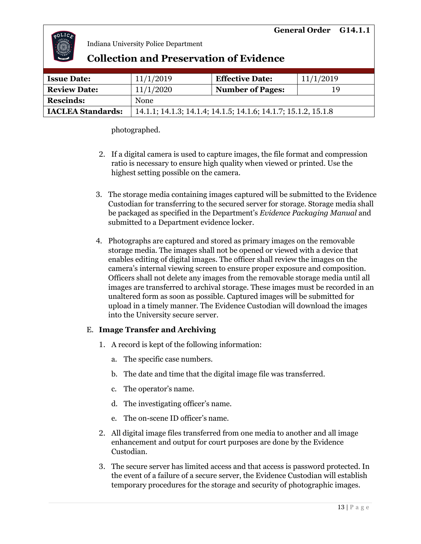

| <b>Issue Date:</b>       | 11/1/2019                                                      | <b>Effective Date:</b>  | 11/1/2019 |  |
|--------------------------|----------------------------------------------------------------|-------------------------|-----------|--|
| <b>Review Date:</b>      | 11/1/2020                                                      | <b>Number of Pages:</b> | 19        |  |
| <b>Rescinds:</b>         | None                                                           |                         |           |  |
| <b>IACLEA Standards:</b> | 14.1.1; 14.1.3; 14.1.4; 14.1.5; 14.1.6; 14.1.7; 15.1.2, 15.1.8 |                         |           |  |
|                          |                                                                |                         |           |  |

**Collection and Preservation of Evidence**

photographed.

- 2. If a digital camera is used to capture images, the file format and compression ratio is necessary to ensure high quality when viewed or printed. Use the highest setting possible on the camera.
- 3. The storage media containing images captured will be submitted to the Evidence Custodian for transferring to the secured server for storage. Storage media shall be packaged as specified in the Department's *Evidence Packaging Manual* and submitted to a Department evidence locker.
- 4. Photographs are captured and stored as primary images on the removable storage media. The images shall not be opened or viewed with a device that enables editing of digital images. The officer shall review the images on the camera's internal viewing screen to ensure proper exposure and composition. Officers shall not delete any images from the removable storage media until all images are transferred to archival storage. These images must be recorded in an unaltered form as soon as possible. Captured images will be submitted for upload in a timely manner. The Evidence Custodian will download the images into the University secure server.

#### E. **Image Transfer and Archiving**

- 1. A record is kept of the following information:
	- a. The specific case numbers.
	- b. The date and time that the digital image file was transferred.
	- c. The operator's name.
	- d. The investigating officer's name.
	- e. The on-scene ID officer's name.
- 2. All digital image files transferred from one media to another and all image enhancement and output for court purposes are done by the Evidence Custodian.
- 3. The secure server has limited access and that access is password protected. In the event of a failure of a secure server, the Evidence Custodian will establish temporary procedures for the storage and security of photographic images.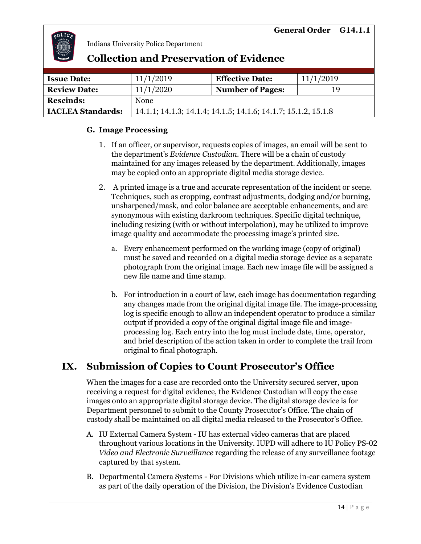

## **Collection and Preservation of Evidence**

| <b>Issue Date:</b>       | 11/1/2019                                                      | <b>Effective Date:</b>  | 11/1/2019 |
|--------------------------|----------------------------------------------------------------|-------------------------|-----------|
| <b>Review Date:</b>      | 11/1/2020                                                      | <b>Number of Pages:</b> | 19        |
| <b>Rescinds:</b>         | None                                                           |                         |           |
| <b>IACLEA Standards:</b> | 14.1.1; 14.1.3; 14.1.4; 14.1.5; 14.1.6; 14.1.7; 15.1.2, 15.1.8 |                         |           |

#### **G. Image Processing**

- 1. If an officer, or supervisor, requests copies of images, an email will be sent to the department's *Evidence Custodian*. There will be a chain of custody maintained for any images released by the department. Additionally, images may be copied onto an appropriate digital media storage device.
- 2. A printed image is a true and accurate representation of the incident or scene. Techniques, such as cropping, contrast adjustments, dodging and/or burning, unsharpened/mask, and color balance are acceptable enhancements, and are synonymous with existing darkroom techniques. Specific digital technique, including resizing (with or without interpolation), may be utilized to improve image quality and accommodate the processing image's printed size.
	- a. Every enhancement performed on the working image (copy of original) must be saved and recorded on a digital media storage device as a separate photograph from the original image. Each new image file will be assigned a new file name and time stamp.
	- b. For introduction in a court of law, each image has documentation regarding any changes made from the original digital image file. The image-processing log is specific enough to allow an independent operator to produce a similar output if provided a copy of the original digital image file and imageprocessing log. Each entry into the log must include date, time, operator, and brief description of the action taken in order to complete the trail from original to final photograph.

# **IX. Submission of Copies to Count Prosecutor's Office**

When the images for a case are recorded onto the University secured server, upon receiving a request for digital evidence, the Evidence Custodian will copy the case images onto an appropriate digital storage device. The digital storage device is for Department personnel to submit to the County Prosecutor's Office. The chain of custody shall be maintained on all digital media released to the Prosecutor's Office.

- A. IU External Camera System IU has external video cameras that are placed throughout various locations in the University. IUPD will adhere to IU Policy PS-02 *Video and Electronic Surveillance* regarding the release of any surveillance footage captured by that system.
- B. Departmental Camera Systems For Divisions which utilize in-car camera system as part of the daily operation of the Division, the Division's Evidence Custodian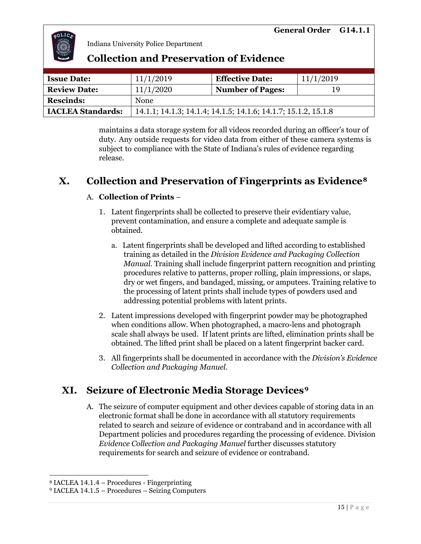

| <b>Collection and Preservation of Evidence</b> |  |
|------------------------------------------------|--|
|------------------------------------------------|--|

| <b>Issue Date:</b>       | 11/1/2019                                                      | <b>Effective Date:</b>  | 11/1/2019 |
|--------------------------|----------------------------------------------------------------|-------------------------|-----------|
| <b>Review Date:</b>      | 11/1/2020                                                      | <b>Number of Pages:</b> | 19        |
| <b>Rescinds:</b>         | <b>None</b>                                                    |                         |           |
| <b>IACLEA Standards:</b> | 14.1.1; 14.1.3; 14.1.4; 14.1.5; 14.1.6; 14.1.7; 15.1.2, 15.1.8 |                         |           |

maintains a data storage system for all videos recorded during an officer's tour of duty. Any outside requests for video data from either of these camera systems is subject to compliance with the State of Indiana's rules of evidence regarding release.

### **X.** Collection and Preservation of Fingerprints as Evidence<sup>8</sup>

#### A. **Collection of Prints** –

- 1. Latent fingerprints shall be collected to preserve their evidentiary value, prevent contamination, and ensure a complete and adequate sample is obtained.
	- a. Latent fingerprints shall be developed and lifted according to established training as detailed in the *Division Evidence and Packaging Collection Manual.* Training shall include fingerprint pattern recognition and printing procedures relative to patterns, proper rolling, plain impressions, or slaps, dry or wet fingers, and bandaged, missing, or amputees. Training relative to the processing of latent prints shall include types of powders used and addressing potential problems with latent prints.
- 2. Latent impressions developed with fingerprint powder may be photographed when conditions allow. When photographed, a macro-lens and photograph scale shall always be used. If latent prints are lifted, elimination prints shall be obtained. The lifted print shall be placed on a latent fingerprint backer card.
- 3. All fingerprints shall be documented in accordance with the *Division's Evidence Collection and Packaging Manuel*.

# **XI. Seizure of Electronic Media Storage Devices?**

A. The seizure of computer equipment and other devices capable of storing data in an electronic format shall be done in accordance with all statutory requirements related to search and seizure of evidence or contraband and in accordance with all Department policies and procedures regarding the processing of evidence. Division *Evidence Collection and Packaging Manuel* further discusses statutory requirements for search and seizure of evidence or contraband.

<sup>8</sup> IACLEA 14.1.4 – Procedures - Fingerprinting

<sup>9</sup> IACLEA 14.1.5 – Procedures – Seizing Computers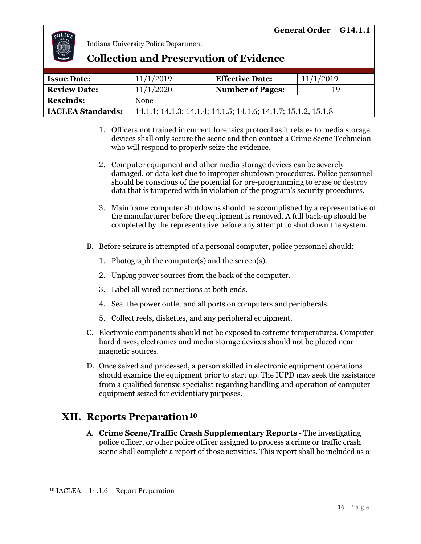

### **Collection and Preservation of Evidence**

| <b>Issue Date:</b>       | 11/1/2019                                                      | <b>Effective Date:</b>  | 11/1/2019 |
|--------------------------|----------------------------------------------------------------|-------------------------|-----------|
| <b>Review Date:</b>      | 11/1/2020                                                      | <b>Number of Pages:</b> | 19        |
| <b>Rescinds:</b>         | None                                                           |                         |           |
| <b>IACLEA Standards:</b> | 14.1.1; 14.1.3; 14.1.4; 14.1.5; 14.1.6; 14.1.7; 15.1.2, 15.1.8 |                         |           |

- 1. Officers not trained in current forensics protocol as it relates to media storage devices shall only secure the scene and then contact a Crime Scene Technician who will respond to properly seize the evidence.
- 2. Computer equipment and other media storage devices can be severely damaged, or data lost due to improper shutdown procedures. Police personnel should be conscious of the potential for pre-programming to erase or destroy data that is tampered with in violation of the program's security procedures.
- 3. Mainframe computer shutdowns should be accomplished by a representative of the manufacturer before the equipment is removed. A full back-up should be completed by the representative before any attempt to shut down the system.
- B. Before seizure is attempted of a personal computer, police personnel should:
	- 1. Photograph the computer(s) and the screen(s).
	- 2. Unplug power sources from the back of the computer.
	- 3. Label all wired connections at both ends.
	- 4. Seal the power outlet and all ports on computers and peripherals.
	- 5. Collect reels, diskettes, and any peripheral equipment.
- C. Electronic components should not be exposed to extreme temperatures. Computer hard drives, electronics and media storage devices should not be placed near magnetic sources.
- D. Once seized and processed, a person skilled in electronic equipment operations should examine the equipment prior to start up. The IUPD may seek the assistance from a qualified forensic specialist regarding handling and operation of computer equipment seized for evidentiary purposes.

# $\bold {XII.}$  Reports Preparation $^{10}$

A. **Crime Scene/Traffic Crash Supplementary Reports** - The investigating police officer, or other police officer assigned to process a crime or traffic crash scene shall complete a report of those activities. This report shall be included as a

<sup>10</sup> IACLEA – 14.1.6 – Report Preparation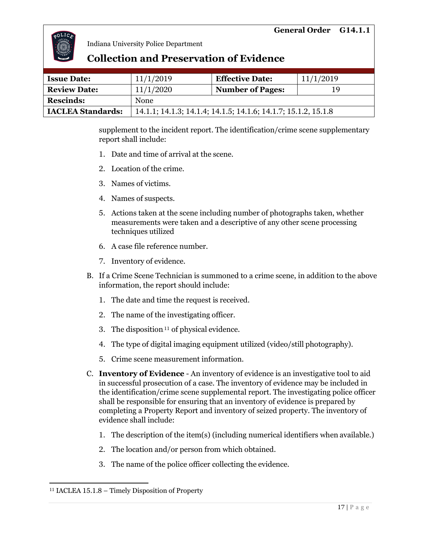

### **Collection and Preservation of Evidence**

| <b>Issue Date:</b>       | 11/1/2019                                                      | <b>Effective Date:</b>  | 11/1/2019 |  |
|--------------------------|----------------------------------------------------------------|-------------------------|-----------|--|
| <b>Review Date:</b>      | 11/1/2020                                                      | <b>Number of Pages:</b> | 19        |  |
| <b>Rescinds:</b>         | <b>None</b>                                                    |                         |           |  |
| <b>IACLEA Standards:</b> | 14.1.1; 14.1.3; 14.1.4; 14.1.5; 14.1.6; 14.1.7; 15.1.2, 15.1.8 |                         |           |  |

supplement to the incident report. The identification/crime scene supplementary report shall include:

- 1. Date and time of arrival at the scene.
- 2. Location of the crime.
- 3. Names of victims.
- 4. Names of suspects.
- 5. Actions taken at the scene including number of photographs taken, whether measurements were taken and a descriptive of any other scene processing techniques utilized
- 6. A case file reference number.
- 7. Inventory of evidence.
- B. If a Crime Scene Technician is summoned to a crime scene, in addition to the above information, the report should include:
	- 1. The date and time the request is received.
	- 2. The name of the investigating officer.
	- 3. The disposition  $11$  of physical evidence.
	- 4. The type of digital imaging equipment utilized (video/still photography).
	- 5. Crime scene measurement information.
- C. **Inventory of Evidence** An inventory of evidence is an investigative tool to aid in successful prosecution of a case. The inventory of evidence may be included in the identification/crime scene supplemental report. The investigating police officer shall be responsible for ensuring that an inventory of evidence is prepared by completing a Property Report and inventory of seized property. The inventory of evidence shall include:
	- 1. The description of the item(s) (including numerical identifiers when available.)
	- 2. The location and/or person from which obtained.
	- 3. The name of the police officer collecting the evidence.

<sup>11</sup> IACLEA 15.1.8 – Timely Disposition of Property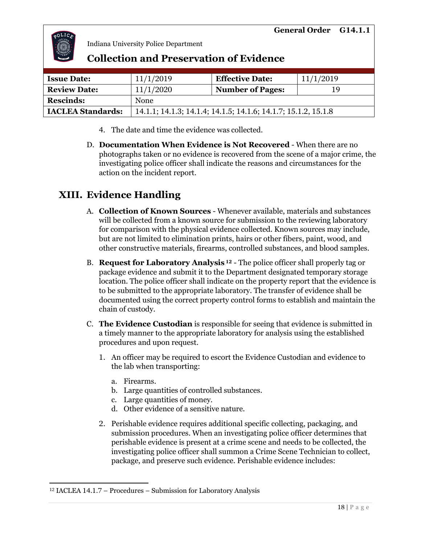

### **Collection and Preservation of Evidence**

| <b>Issue Date:</b>       | 11/1/2019                                                      | <b>Effective Date:</b>  | 11/1/2019 |
|--------------------------|----------------------------------------------------------------|-------------------------|-----------|
| <b>Review Date:</b>      | 11/1/2020                                                      | <b>Number of Pages:</b> | 19        |
| <b>Rescinds:</b>         | <b>None</b>                                                    |                         |           |
| <b>IACLEA Standards:</b> | 14.1.1; 14.1.3; 14.1.4; 14.1.5; 14.1.6; 14.1.7; 15.1.2, 15.1.8 |                         |           |

- 4. The date and time the evidence was collected.
- D. **Documentation When Evidence is Not Recovered** When there are no photographs taken or no evidence is recovered from the scene of a major crime, the investigating police officer shall indicate the reasons and circumstances for the action on the incident report.

# **XIII. Evidence Handling**

- A. **Collection of Known Sources** Whenever available, materials and substances will be collected from a known source for submission to the reviewing laboratory for comparison with the physical evidence collected. Known sources may include, but are not limited to elimination prints, hairs or other fibers, paint, wood, and other constructive materials, firearms, controlled substances, and blood samples.
- B. **Request for Laboratory Analysis**<sup>12</sup> The police officer shall properly tag or package evidence and submit it to the Department designated temporary storage location. The police officer shall indicate on the property report that the evidence is to be submitted to the appropriate laboratory. The transfer of evidence shall be documented using the correct property control forms to establish and maintain the chain of custody.
- C. **The Evidence Custodian** is responsible for seeing that evidence is submitted in a timely manner to the appropriate laboratory for analysis using the established procedures and upon request.
	- 1. An officer may be required to escort the Evidence Custodian and evidence to the lab when transporting:
		- a. Firearms.
		- b. Large quantities of controlled substances.
		- c. Large quantities of money.
		- d. Other evidence of a sensitive nature.
	- 2. Perishable evidence requires additional specific collecting, packaging, and submission procedures. When an investigating police officer determines that perishable evidence is present at a crime scene and needs to be collected, the investigating police officer shall summon a Crime Scene Technician to collect, package, and preserve such evidence. Perishable evidence includes:

<sup>12</sup> IACLEA 14.1.7 – Procedures – Submission for Laboratory Analysis